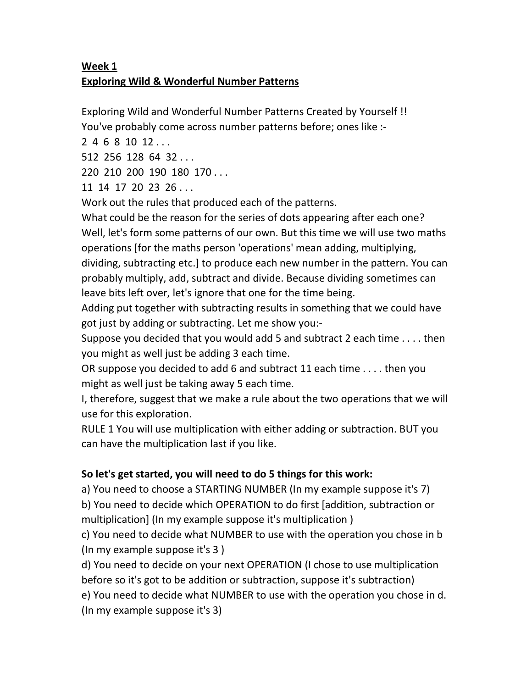## Week 1 Exploring Wild & Wonderful Number Patterns

Exploring Wild and Wonderful Number Patterns Created by Yourself !! You've probably come across number patterns before; ones like :-

2 4 6 8 10 12 . . .

512 256 128 64 32 . . .

220 210 200 190 180 170 . . .

11 14 17 20 23 26 . . .

Work out the rules that produced each of the patterns.

What could be the reason for the series of dots appearing after each one? Well, let's form some patterns of our own. But this time we will use two maths operations [for the maths person 'operations' mean adding, multiplying, dividing, subtracting etc.] to produce each new number in the pattern. You can probably multiply, add, subtract and divide. Because dividing sometimes can leave bits left over, let's ignore that one for the time being.

Adding put together with subtracting results in something that we could have got just by adding or subtracting. Let me show you:-

Suppose you decided that you would add 5 and subtract 2 each time . . . . then you might as well just be adding 3 each time.

OR suppose you decided to add 6 and subtract 11 each time . . . . then you might as well just be taking away 5 each time.

I, therefore, suggest that we make a rule about the two operations that we will use for this exploration.

RULE 1 You will use multiplication with either adding or subtraction. BUT you can have the multiplication last if you like.

## So let's get started, you will need to do 5 things for this work:

a) You need to choose a STARTING NUMBER (In my example suppose it's 7) b) You need to decide which OPERATION to do first [addition, subtraction or multiplication] (In my example suppose it's multiplication )

c) You need to decide what NUMBER to use with the operation you chose in b (In my example suppose it's 3 )

d) You need to decide on your next OPERATION (I chose to use multiplication before so it's got to be addition or subtraction, suppose it's subtraction) e) You need to decide what NUMBER to use with the operation you chose in d. (In my example suppose it's 3)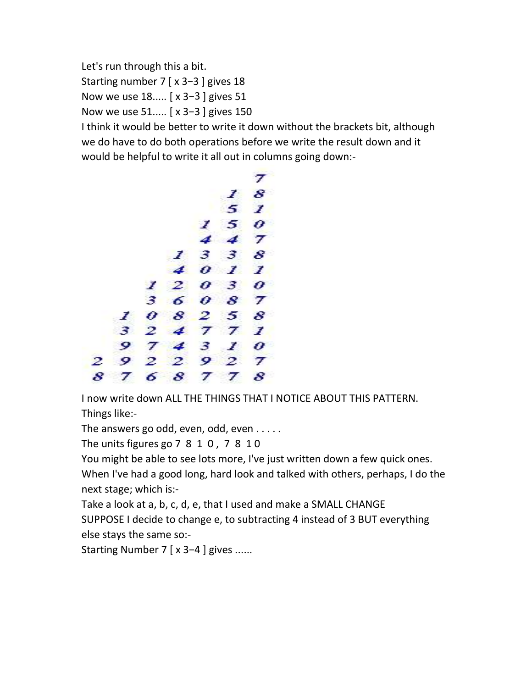Let's run through this a bit.

Starting number 7 [ x 3−3 ] gives 18

Now we use 18..... [ x 3−3 ] gives 51

Now we use 51..... [ x 3−3 ] gives 150

I think it would be better to write it down without the brackets bit, although we do have to do both operations before we write the result down and it would be helpful to write it all out in columns going down:-



I now write down ALL THE THINGS THAT I NOTICE ABOUT THIS PATTERN. Things like:-

The answers go odd, even, odd, even . . . . .

The units figures go 7 8 1 0 , 7 8 1 0

You might be able to see lots more, I've just written down a few quick ones. When I've had a good long, hard look and talked with others, perhaps, I do the next stage; which is:-

Take a look at a, b, c, d, e, that I used and make a SMALL CHANGE

SUPPOSE I decide to change e, to subtracting 4 instead of 3 BUT everything else stays the same so:-

Starting Number 7 [ x 3−4 ] gives ......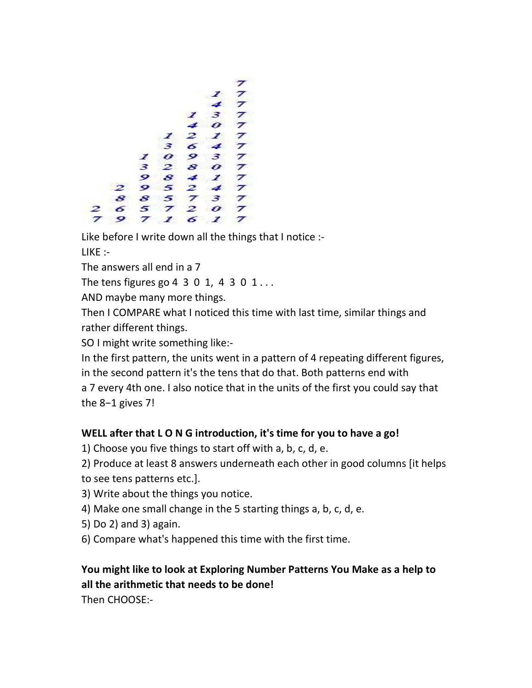

Like before I write down all the things that I notice :- LIKE :-

The answers all end in a 7

The tens figures go 4  $3$  0  $1$ , 4  $3$  0  $1$ ...

AND maybe many more things.

Then I COMPARE what I noticed this time with last time, similar things and rather different things.

SO I might write something like:-

In the first pattern, the units went in a pattern of 4 repeating different figures, in the second pattern it's the tens that do that. Both patterns end with a 7 every 4th one. I also notice that in the units of the first you could say that the 8−1 gives 7!

## WELL after that L O N G introduction, it's time for you to have a go!

1) Choose you five things to start off with a, b, c, d, e.

- 2) Produce at least 8 answers underneath each other in good columns [it helps
- to see tens patterns etc.].
- 3) Write about the things you notice.
- 4) Make one small change in the 5 starting things a, b, c, d, e.
- 5) Do 2) and 3) again.
- 6) Compare what's happened this time with the first time.

## You might like to look at Exploring Number Patterns You Make as a help to all the arithmetic that needs to be done!

Then CHOOSE:-